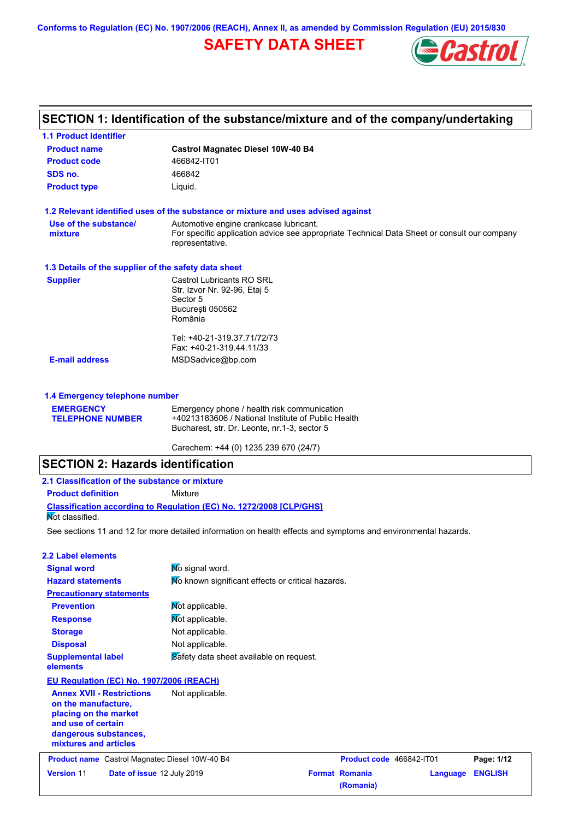# **SAFETY DATA SHEET**



# **SECTION 1: Identification of the substance/mixture and of the company/undertaking**

| <b>1.1 Product identifier</b>                        |                                                                                                                                                          |
|------------------------------------------------------|----------------------------------------------------------------------------------------------------------------------------------------------------------|
| <b>Product name</b>                                  | <b>Castrol Magnatec Diesel 10W-40 B4</b>                                                                                                                 |
| <b>Product code</b>                                  | 466842-IT01                                                                                                                                              |
| SDS no.                                              | 466842                                                                                                                                                   |
| <b>Product type</b>                                  | Liquid.                                                                                                                                                  |
|                                                      | 1.2 Relevant identified uses of the substance or mixture and uses advised against                                                                        |
| Use of the substance/<br>mixture                     | Automotive engine crankcase lubricant.<br>For specific application advice see appropriate Technical Data Sheet or consult our company<br>representative. |
| 1.3 Details of the supplier of the safety data sheet |                                                                                                                                                          |
| <b>Supplier</b>                                      | Castrol Lubricants RO SRL<br>Str. Izvor Nr. 92-96, Etaj 5<br>Sector 5<br>Bucuresti 050562<br>România                                                     |
|                                                      | Tel: +40-21-319.37.71/72/73<br>Fax: +40-21-319.44.11/33                                                                                                  |
| <b>E-mail address</b>                                | MSDSadvice@bp.com                                                                                                                                        |
| 1.4 Emergency telephone number                       |                                                                                                                                                          |
| <b>EMERGENCY</b><br><b>TELEPHONE NUMBER</b>          | Emergency phone / health risk communication<br>+40213183606 / National Institute of Public Health<br>Bucharest, str. Dr. Leonte, nr.1-3, sector 5        |
|                                                      | Carechem: +44 (0) 1235 239 670 (24/7)                                                                                                                    |

#### **SECTION 2: Hazards identification 2.1 Classification of the substance or mixture**

| 2.1 Glassification of the substance or mixture |                                                                            |
|------------------------------------------------|----------------------------------------------------------------------------|
| <b>Product definition</b>                      | Mixture                                                                    |
|                                                | <b>Classification according to Regulation (EC) No. 1272/2008 [CLP/GHS]</b> |
| Not classified.                                |                                                                            |

See sections 11 and 12 for more detailed information on health effects and symptoms and environmental hazards.

| 2.2 Label elements                       |                                                   |
|------------------------------------------|---------------------------------------------------|
| <b>Signal word</b>                       | No signal word.                                   |
| <b>Hazard statements</b>                 | No known significant effects or critical hazards. |
| <b>Precautionary statements</b>          |                                                   |
| <b>Prevention</b>                        | Mot applicable.                                   |
| <b>Response</b>                          | Not applicable.                                   |
| <b>Storage</b>                           | Not applicable.                                   |
| <b>Disposal</b>                          | Not applicable.                                   |
| <b>Supplemental label</b><br>elements    | Safety data sheet available on request.           |
| EU Regulation (EC) No. 1907/2006 (REACH) |                                                   |
| <b>Annex XVII - Restrictions</b>         | Not applicable.                                   |

**on the manufacture, placing on the market and use of certain dangerous substances, mixtures and articles**

|                   | <b>Product name</b> Castrol Magnatec Diesel 10W-40 B4 | Product code 466842-IT01 |                  | Page: 1/12 |
|-------------------|-------------------------------------------------------|--------------------------|------------------|------------|
| <b>Version 11</b> | <b>Date of issue 12 July 2019</b>                     | <b>Format Romania</b>    | Language ENGLISH |            |
|                   |                                                       | (Romania)                |                  |            |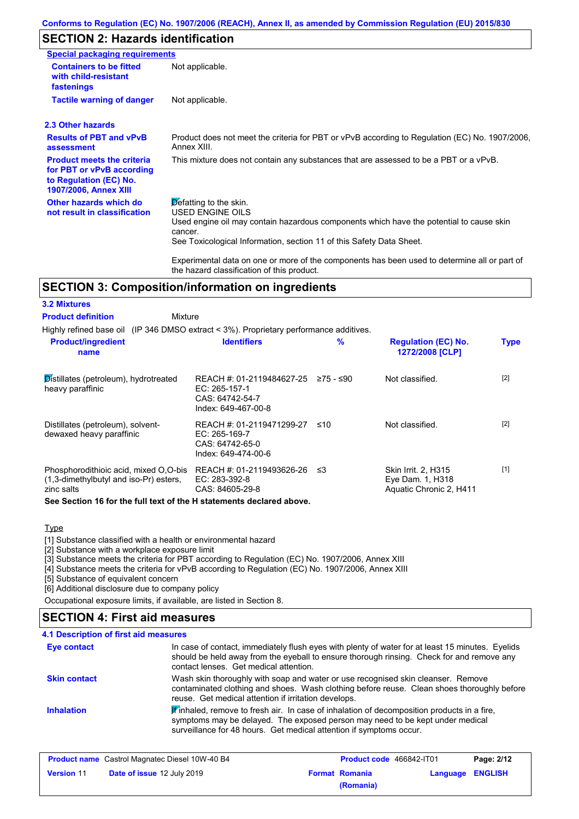## **SECTION 2: Hazards identification**

| Special packaging requirements                                                                                           |                                                                                                                                                                                                                          |
|--------------------------------------------------------------------------------------------------------------------------|--------------------------------------------------------------------------------------------------------------------------------------------------------------------------------------------------------------------------|
| <b>Containers to be fitted</b><br>with child-resistant<br>fastenings                                                     | Not applicable.                                                                                                                                                                                                          |
| <b>Tactile warning of danger</b>                                                                                         | Not applicable.                                                                                                                                                                                                          |
| 2.3 Other hazards                                                                                                        |                                                                                                                                                                                                                          |
| <b>Results of PBT and vPvB</b><br>assessment                                                                             | Product does not meet the criteria for PBT or vPvB according to Regulation (EC) No. 1907/2006,<br>Annex XIII.                                                                                                            |
| <b>Product meets the criteria</b><br>for PBT or vPvB according<br>to Regulation (EC) No.<br><b>1907/2006, Annex XIII</b> | This mixture does not contain any substances that are assessed to be a PBT or a vPvB.                                                                                                                                    |
| Other hazards which do<br>not result in classification                                                                   | Defatting to the skin.<br>USED ENGINE OILS<br>Used engine oil may contain hazardous components which have the potential to cause skin<br>cancer.<br>See Toxicological Information, section 11 of this Safety Data Sheet. |
|                                                                                                                          | Experimental data on one or more of the components has been used to determine all or part of                                                                                                                             |

# the hazard classification of this product.

### **SECTION 3: Composition/information on ingredients**

| <b>3.2 Mixtures</b>                                                                           |                                                                                                |      |                                                                    |             |
|-----------------------------------------------------------------------------------------------|------------------------------------------------------------------------------------------------|------|--------------------------------------------------------------------|-------------|
| <b>Product definition</b><br>Mixture                                                          |                                                                                                |      |                                                                    |             |
| Highly refined base oil (IP 346 DMSO extract < 3%). Proprietary performance additives.        |                                                                                                |      |                                                                    |             |
| <b>Product/ingredient</b><br>name                                                             | <b>Identifiers</b>                                                                             | %    | <b>Regulation (EC) No.</b><br>1272/2008 [CLP]                      | <b>Type</b> |
| Distillates (petroleum), hydrotreated<br>heavy paraffinic                                     | REACH #: 01-2119484627-25 ≥75 - ≤90<br>EC: 265-157-1<br>CAS: 64742-54-7<br>Index: 649-467-00-8 |      | Not classified.                                                    | $[2]$       |
| Distillates (petroleum), solvent-<br>dewaxed heavy paraffinic                                 | REACH #: 01-2119471299-27<br>EC: 265-169-7<br>CAS: 64742-65-0<br>Index: 649-474-00-6           | ≤10  | Not classified.                                                    | $[2]$       |
| Phosphorodithioic acid, mixed O,O-bis<br>(1,3-dimethylbutyl and iso-Pr) esters,<br>zinc salts | REACH #: 01-2119493626-26<br>EC: 283-392-8<br>CAS: 84605-29-8                                  | ึ ≤3 | Skin Irrit. 2, H315<br>Eye Dam. 1, H318<br>Aquatic Chronic 2, H411 | $[1]$       |
| See Section 16 for the full text of the H statements declared above.                          |                                                                                                |      |                                                                    |             |

#### Type

[1] Substance classified with a health or environmental hazard

[2] Substance with a workplace exposure limit

[3] Substance meets the criteria for PBT according to Regulation (EC) No. 1907/2006, Annex XIII

[4] Substance meets the criteria for vPvB according to Regulation (EC) No. 1907/2006, Annex XIII

[5] Substance of equivalent concern

[6] Additional disclosure due to company policy

Occupational exposure limits, if available, are listed in Section 8.

## **SECTION 4: First aid measures**

#### In case of contact, immediately flush eyes with plenty of water for at least 15 minutes. Eyelids should be held away from the eyeball to ensure thorough rinsing. Check for and remove any contact lenses. Get medical attention. **4.1 Description of first aid measures**  $\mathbb F$  inhaled, remove to fresh air. In case of inhalation of decomposition products in a fire, symptoms may be delayed. The exposed person may need to be kept under medical surveillance for 48 hours. Get medical attention if symptoms occur. **Inhalation Eye contact Skin contact** Wash skin thoroughly with soap and water or use recognised skin cleanser. Remove contaminated clothing and shoes. Wash clothing before reuse. Clean shoes thoroughly before reuse. Get medical attention if irritation develops.

| <b>Product name</b> Castrol Magnatec Diesel 10W-40 B4  |  | Product code 466842-IT01 |                       | Page: 2/12              |  |
|--------------------------------------------------------|--|--------------------------|-----------------------|-------------------------|--|
| <b>Date of issue 12 July 2019</b><br><b>Version 11</b> |  |                          | <b>Format Romania</b> | <b>Language ENGLISH</b> |  |
|                                                        |  |                          | (Romania)             |                         |  |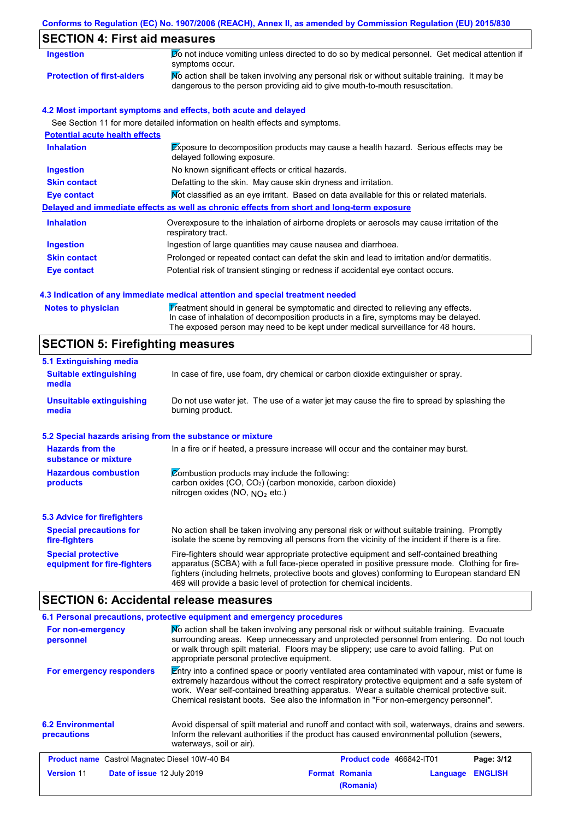# **SECTION 4: First aid measures**

| <b>Ingestion</b>                      | Do not induce vomiting unless directed to do so by medical personnel. Get medical attention if<br>symptoms occur.                                                           |
|---------------------------------------|-----------------------------------------------------------------------------------------------------------------------------------------------------------------------------|
| <b>Protection of first-aiders</b>     | No action shall be taken involving any personal risk or without suitable training. It may be<br>dangerous to the person providing aid to give mouth-to-mouth resuscitation. |
|                                       | 4.2 Most important symptoms and effects, both acute and delayed                                                                                                             |
|                                       | See Section 11 for more detailed information on health effects and symptoms.                                                                                                |
| <b>Potential acute health effects</b> |                                                                                                                                                                             |
| <b>Inhalation</b>                     | <b>Exposure to decomposition products may cause a health hazard. Serious effects may be</b>                                                                                 |

| <b>Ingestion</b>    | No known significant effects or critical hazards.                                                                 |
|---------------------|-------------------------------------------------------------------------------------------------------------------|
| <b>Skin contact</b> | Defatting to the skin. May cause skin dryness and irritation.                                                     |
| Eye contact         | Mot classified as an eye irritant. Based on data available for this or related materials.                         |
|                     | Delayed and immediate effects as well as chronic effects from short and long-term exposure                        |
| <b>Inhalation</b>   | Overexposure to the inhalation of airborne droplets or aerosols may cause irritation of the<br>respiratory tract. |
| <b>Ingestion</b>    | Ingestion of large quantities may cause nausea and diarrhoea.                                                     |
| <b>Skin contact</b> | Prolonged or repeated contact can defat the skin and lead to irritation and/or dermatitis.                        |
| <b>Eye contact</b>  | Potential risk of transient stinging or redness if accidental eye contact occurs.                                 |
|                     |                                                                                                                   |

### **4.3 Indication of any immediate medical attention and special treatment needed**

| <b>Notes to physician</b> | Treatment should in general be symptomatic and directed to relieving any effects.<br>In case of inhalation of decomposition products in a fire, symptoms may be delayed.<br>The exposed person may need to be kept under medical surveillance for 48 hours. |
|---------------------------|-------------------------------------------------------------------------------------------------------------------------------------------------------------------------------------------------------------------------------------------------------------|
|---------------------------|-------------------------------------------------------------------------------------------------------------------------------------------------------------------------------------------------------------------------------------------------------------|

# **SECTION 5: Firefighting measures**

| 5.1 Extinguishing media                                   |                                                                                                                                                                                                                                                                                                                                                                   |  |  |  |
|-----------------------------------------------------------|-------------------------------------------------------------------------------------------------------------------------------------------------------------------------------------------------------------------------------------------------------------------------------------------------------------------------------------------------------------------|--|--|--|
| <b>Suitable extinguishing</b><br>media                    | In case of fire, use foam, dry chemical or carbon dioxide extinguisher or spray.                                                                                                                                                                                                                                                                                  |  |  |  |
| <b>Unsuitable extinguishing</b><br>media                  | Do not use water jet. The use of a water jet may cause the fire to spread by splashing the<br>burning product.                                                                                                                                                                                                                                                    |  |  |  |
| 5.2 Special hazards arising from the substance or mixture |                                                                                                                                                                                                                                                                                                                                                                   |  |  |  |
| <b>Hazards from the</b><br>substance or mixture           | In a fire or if heated, a pressure increase will occur and the container may burst.                                                                                                                                                                                                                                                                               |  |  |  |
| <b>Hazardous combustion</b><br>products                   | Combustion products may include the following:<br>carbon oxides $(CO, CO2)$ (carbon monoxide, carbon dioxide)<br>nitrogen oxides (NO, $NO2$ etc.)                                                                                                                                                                                                                 |  |  |  |
| 5.3 Advice for firefighters                               |                                                                                                                                                                                                                                                                                                                                                                   |  |  |  |
| <b>Special precautions for</b><br>fire-fighters           | No action shall be taken involving any personal risk or without suitable training. Promptly<br>isolate the scene by removing all persons from the vicinity of the incident if there is a fire.                                                                                                                                                                    |  |  |  |
| <b>Special protective</b><br>equipment for fire-fighters  | Fire-fighters should wear appropriate protective equipment and self-contained breathing<br>apparatus (SCBA) with a full face-piece operated in positive pressure mode. Clothing for fire-<br>fighters (including helmets, protective boots and gloves) conforming to European standard EN<br>469 will provide a basic level of protection for chemical incidents. |  |  |  |

## **SECTION 6: Accidental release measures**

| 6.1 Personal precautions, protective equipment and emergency procedures                                                                                                                                                                                                                                                                                                                                                     |                                                                                                                                                                                                                             |  |                                    |          |                |  |
|-----------------------------------------------------------------------------------------------------------------------------------------------------------------------------------------------------------------------------------------------------------------------------------------------------------------------------------------------------------------------------------------------------------------------------|-----------------------------------------------------------------------------------------------------------------------------------------------------------------------------------------------------------------------------|--|------------------------------------|----------|----------------|--|
| No action shall be taken involving any personal risk or without suitable training. Evacuate<br>For non-emergency<br>surrounding areas. Keep unnecessary and unprotected personnel from entering. Do not touch<br>personnel<br>or walk through spilt material. Floors may be slippery; use care to avoid falling. Put on<br>appropriate personal protective equipment.                                                       |                                                                                                                                                                                                                             |  |                                    |          |                |  |
| $\mathbb E$ ntry into a confined space or poorly ventilated area contaminated with vapour, mist or fume is<br>For emergency responders<br>extremely hazardous without the correct respiratory protective equipment and a safe system of<br>work. Wear self-contained breathing apparatus. Wear a suitable chemical protective suit.<br>Chemical resistant boots. See also the information in "For non-emergency personnel". |                                                                                                                                                                                                                             |  |                                    |          |                |  |
| <b>6.2 Environmental</b><br>precautions                                                                                                                                                                                                                                                                                                                                                                                     | Avoid dispersal of spilt material and runoff and contact with soil, waterways, drains and sewers.<br>Inform the relevant authorities if the product has caused environmental pollution (sewers,<br>waterways, soil or air). |  |                                    |          |                |  |
| <b>Product name</b> Castrol Magnatec Diesel 10W-40 B4                                                                                                                                                                                                                                                                                                                                                                       |                                                                                                                                                                                                                             |  | <b>Product code</b> 466842-IT01    |          | Page: 3/12     |  |
| <b>Version 11</b><br><b>Date of issue 12 July 2019</b>                                                                                                                                                                                                                                                                                                                                                                      |                                                                                                                                                                                                                             |  | <b>Format Romania</b><br>(Romania) | Language | <b>ENGLISH</b> |  |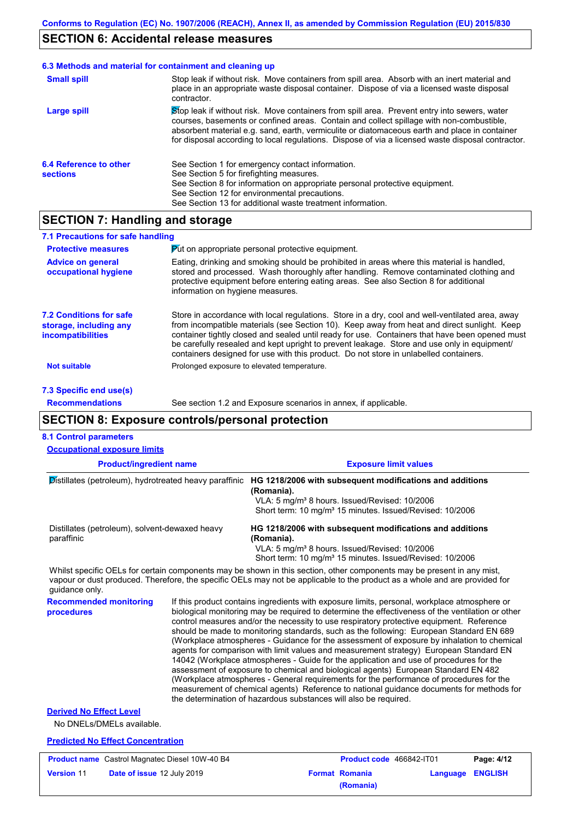### **SECTION 6: Accidental release measures**

#### Stop leak if without risk. Move containers from spill area. Prevent entry into sewers, water courses, basements or confined areas. Contain and collect spillage with non-combustible, absorbent material e.g. sand, earth, vermiculite or diatomaceous earth and place in container for disposal according to local regulations. Dispose of via a licensed waste disposal contractor. **Large spill** Stop leak if without risk. Move containers from spill area. Absorb with an inert material and place in an appropriate waste disposal container. Dispose of via a licensed waste disposal contractor. **Small spill 6.3 Methods and material for containment and cleaning up 6.4 Reference to other sections** See Section 1 for emergency contact information. See Section 5 for firefighting measures. See Section 8 for information on appropriate personal protective equipment. See Section 12 for environmental precautions. See Section 13 for additional waste treatment information.

## **SECTION 7: Handling and storage**

| 7.1 Precautions for safe handling                                                    |                                                                                                                                                                                                                                                                                                                                                                                                                                                                                          |
|--------------------------------------------------------------------------------------|------------------------------------------------------------------------------------------------------------------------------------------------------------------------------------------------------------------------------------------------------------------------------------------------------------------------------------------------------------------------------------------------------------------------------------------------------------------------------------------|
| <b>Protective measures</b>                                                           | <b>Put on appropriate personal protective equipment.</b>                                                                                                                                                                                                                                                                                                                                                                                                                                 |
| <b>Advice on general</b><br>occupational hygiene                                     | Eating, drinking and smoking should be prohibited in areas where this material is handled,<br>stored and processed. Wash thoroughly after handling. Remove contaminated clothing and<br>protective equipment before entering eating areas. See also Section 8 for additional<br>information on hygiene measures.                                                                                                                                                                         |
| <b>7.2 Conditions for safe</b><br>storage, including any<br><i>incompatibilities</i> | Store in accordance with local regulations. Store in a dry, cool and well-ventilated area, away<br>from incompatible materials (see Section 10). Keep away from heat and direct sunlight. Keep<br>container tightly closed and sealed until ready for use. Containers that have been opened must<br>be carefully resealed and kept upright to prevent leakage. Store and use only in equipment/<br>containers designed for use with this product. Do not store in unlabelled containers. |
| <b>Not suitable</b>                                                                  | Prolonged exposure to elevated temperature.                                                                                                                                                                                                                                                                                                                                                                                                                                              |

**7.3 Specific end use(s) Recommendations**

See section 1.2 and Exposure scenarios in annex, if applicable.

## **SECTION 8: Exposure controls/personal protection**

### **8.1 Control parameters**

| <b>Occupational exposure limits</b>                                                                                    |                                                                                                                                                                                                                                                                                                                                                                                                                                                                                                                                                                                                                                                                                                                                                                                                                                                                                                                                                                                                                            |                                                                                                                                                                                                                                                      |  |
|------------------------------------------------------------------------------------------------------------------------|----------------------------------------------------------------------------------------------------------------------------------------------------------------------------------------------------------------------------------------------------------------------------------------------------------------------------------------------------------------------------------------------------------------------------------------------------------------------------------------------------------------------------------------------------------------------------------------------------------------------------------------------------------------------------------------------------------------------------------------------------------------------------------------------------------------------------------------------------------------------------------------------------------------------------------------------------------------------------------------------------------------------------|------------------------------------------------------------------------------------------------------------------------------------------------------------------------------------------------------------------------------------------------------|--|
| <b>Product/ingredient name</b>                                                                                         |                                                                                                                                                                                                                                                                                                                                                                                                                                                                                                                                                                                                                                                                                                                                                                                                                                                                                                                                                                                                                            | <b>Exposure limit values</b>                                                                                                                                                                                                                         |  |
| Distillates (petroleum), hydrotreated heavy paraffinic<br>Distillates (petroleum), solvent-dewaxed heavy<br>paraffinic |                                                                                                                                                                                                                                                                                                                                                                                                                                                                                                                                                                                                                                                                                                                                                                                                                                                                                                                                                                                                                            | HG 1218/2006 with subsequent modifications and additions<br>(Romania).<br>VLA: 5 mg/m <sup>3</sup> 8 hours. Issued/Revised: 10/2006<br>Short term: 10 mg/m <sup>3</sup> 15 minutes. Issued/Revised: 10/2006                                          |  |
|                                                                                                                        |                                                                                                                                                                                                                                                                                                                                                                                                                                                                                                                                                                                                                                                                                                                                                                                                                                                                                                                                                                                                                            | HG 1218/2006 with subsequent modifications and additions<br>(Romania).<br>VLA: 5 mg/m <sup>3</sup> 8 hours. Issued/Revised: 10/2006<br>Short term: 10 mg/m <sup>3</sup> 15 minutes. Issued/Revised: 10/2006                                          |  |
| quidance only.                                                                                                         |                                                                                                                                                                                                                                                                                                                                                                                                                                                                                                                                                                                                                                                                                                                                                                                                                                                                                                                                                                                                                            | Whilst specific OELs for certain components may be shown in this section, other components may be present in any mist,<br>vapour or dust produced. Therefore, the specific OELs may not be applicable to the product as a whole and are provided for |  |
| <b>Recommended monitoring</b><br>procedures                                                                            | If this product contains ingredients with exposure limits, personal, workplace atmosphere or<br>biological monitoring may be required to determine the effectiveness of the ventilation or other<br>control measures and/or the necessity to use respiratory protective equipment. Reference<br>should be made to monitoring standards, such as the following: European Standard EN 689<br>(Workplace atmospheres - Guidance for the assessment of exposure by inhalation to chemical<br>agents for comparison with limit values and measurement strategy) European Standard EN<br>14042 (Workplace atmospheres - Guide for the application and use of procedures for the<br>assessment of exposure to chemical and biological agents) European Standard EN 482<br>(Workplace atmospheres - General requirements for the performance of procedures for the<br>measurement of chemical agents) Reference to national guidance documents for methods for<br>the determination of hazardous substances will also be required. |                                                                                                                                                                                                                                                      |  |
| <b>Derived No Effect Level</b><br>No DNELs/DMELs available.                                                            |                                                                                                                                                                                                                                                                                                                                                                                                                                                                                                                                                                                                                                                                                                                                                                                                                                                                                                                                                                                                                            |                                                                                                                                                                                                                                                      |  |
| <b>Predicted No Effect Concentration</b>                                                                               |                                                                                                                                                                                                                                                                                                                                                                                                                                                                                                                                                                                                                                                                                                                                                                                                                                                                                                                                                                                                                            |                                                                                                                                                                                                                                                      |  |

|                   | <b>Product name</b> Castrol Magnatec Diesel 10W-40 B4 | <b>Product code</b> 466842-IT01 |                  | Page: 4/12 |
|-------------------|-------------------------------------------------------|---------------------------------|------------------|------------|
| <b>Version 11</b> | <b>Date of issue 12 July 2019</b>                     | <b>Format Romania</b>           | Language ENGLISH |            |
|                   |                                                       | (Romania)                       |                  |            |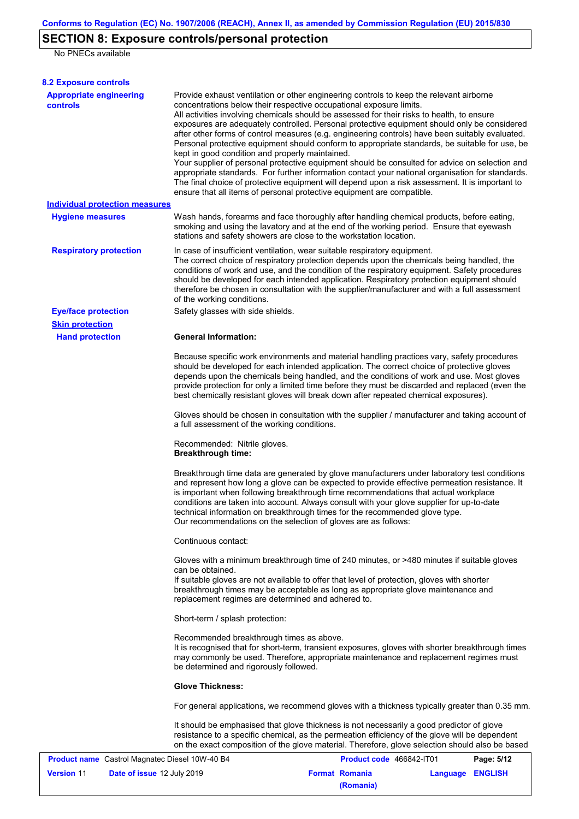# **SECTION 8: Exposure controls/personal protection**

No PNECs available

| <b>8.2 Exposure controls</b>                          |                                                                                                                                                                                                                                                                                                                                                                                                                                                                                                                                                                                                                                                                                                                                                                                                                                                                                                                                                                                                         |                          |                  |            |
|-------------------------------------------------------|---------------------------------------------------------------------------------------------------------------------------------------------------------------------------------------------------------------------------------------------------------------------------------------------------------------------------------------------------------------------------------------------------------------------------------------------------------------------------------------------------------------------------------------------------------------------------------------------------------------------------------------------------------------------------------------------------------------------------------------------------------------------------------------------------------------------------------------------------------------------------------------------------------------------------------------------------------------------------------------------------------|--------------------------|------------------|------------|
| <b>Appropriate engineering</b><br><b>controls</b>     | Provide exhaust ventilation or other engineering controls to keep the relevant airborne<br>concentrations below their respective occupational exposure limits.<br>All activities involving chemicals should be assessed for their risks to health, to ensure<br>exposures are adequately controlled. Personal protective equipment should only be considered<br>after other forms of control measures (e.g. engineering controls) have been suitably evaluated.<br>Personal protective equipment should conform to appropriate standards, be suitable for use, be<br>kept in good condition and properly maintained.<br>Your supplier of personal protective equipment should be consulted for advice on selection and<br>appropriate standards. For further information contact your national organisation for standards.<br>The final choice of protective equipment will depend upon a risk assessment. It is important to<br>ensure that all items of personal protective equipment are compatible. |                          |                  |            |
| <b>Individual protection measures</b>                 |                                                                                                                                                                                                                                                                                                                                                                                                                                                                                                                                                                                                                                                                                                                                                                                                                                                                                                                                                                                                         |                          |                  |            |
| <b>Hygiene measures</b>                               | Wash hands, forearms and face thoroughly after handling chemical products, before eating,<br>smoking and using the lavatory and at the end of the working period. Ensure that eyewash<br>stations and safety showers are close to the workstation location.                                                                                                                                                                                                                                                                                                                                                                                                                                                                                                                                                                                                                                                                                                                                             |                          |                  |            |
| <b>Respiratory protection</b>                         | In case of insufficient ventilation, wear suitable respiratory equipment.<br>The correct choice of respiratory protection depends upon the chemicals being handled, the<br>conditions of work and use, and the condition of the respiratory equipment. Safety procedures<br>should be developed for each intended application. Respiratory protection equipment should<br>therefore be chosen in consultation with the supplier/manufacturer and with a full assessment<br>of the working conditions.                                                                                                                                                                                                                                                                                                                                                                                                                                                                                                   |                          |                  |            |
| <b>Eye/face protection</b>                            | Safety glasses with side shields.                                                                                                                                                                                                                                                                                                                                                                                                                                                                                                                                                                                                                                                                                                                                                                                                                                                                                                                                                                       |                          |                  |            |
| <b>Skin protection</b>                                |                                                                                                                                                                                                                                                                                                                                                                                                                                                                                                                                                                                                                                                                                                                                                                                                                                                                                                                                                                                                         |                          |                  |            |
| <b>Hand protection</b>                                | <b>General Information:</b>                                                                                                                                                                                                                                                                                                                                                                                                                                                                                                                                                                                                                                                                                                                                                                                                                                                                                                                                                                             |                          |                  |            |
|                                                       | Because specific work environments and material handling practices vary, safety procedures<br>should be developed for each intended application. The correct choice of protective gloves<br>depends upon the chemicals being handled, and the conditions of work and use. Most gloves<br>provide protection for only a limited time before they must be discarded and replaced (even the<br>best chemically resistant gloves will break down after repeated chemical exposures).                                                                                                                                                                                                                                                                                                                                                                                                                                                                                                                        |                          |                  |            |
|                                                       | Gloves should be chosen in consultation with the supplier / manufacturer and taking account of<br>a full assessment of the working conditions.                                                                                                                                                                                                                                                                                                                                                                                                                                                                                                                                                                                                                                                                                                                                                                                                                                                          |                          |                  |            |
|                                                       | Recommended: Nitrile gloves.<br><b>Breakthrough time:</b>                                                                                                                                                                                                                                                                                                                                                                                                                                                                                                                                                                                                                                                                                                                                                                                                                                                                                                                                               |                          |                  |            |
|                                                       | Breakthrough time data are generated by glove manufacturers under laboratory test conditions<br>and represent how long a glove can be expected to provide effective permeation resistance. It<br>is important when following breakthrough time recommendations that actual workplace<br>conditions are taken into account. Always consult with your glove supplier for up-to-date<br>technical information on breakthrough times for the recommended glove type.<br>Our recommendations on the selection of gloves are as follows:                                                                                                                                                                                                                                                                                                                                                                                                                                                                      |                          |                  |            |
|                                                       | Continuous contact:                                                                                                                                                                                                                                                                                                                                                                                                                                                                                                                                                                                                                                                                                                                                                                                                                                                                                                                                                                                     |                          |                  |            |
|                                                       | Gloves with a minimum breakthrough time of 240 minutes, or >480 minutes if suitable gloves<br>can be obtained.<br>If suitable gloves are not available to offer that level of protection, gloves with shorter<br>breakthrough times may be acceptable as long as appropriate glove maintenance and<br>replacement regimes are determined and adhered to.                                                                                                                                                                                                                                                                                                                                                                                                                                                                                                                                                                                                                                                |                          |                  |            |
|                                                       | Short-term / splash protection:                                                                                                                                                                                                                                                                                                                                                                                                                                                                                                                                                                                                                                                                                                                                                                                                                                                                                                                                                                         |                          |                  |            |
|                                                       | Recommended breakthrough times as above.<br>It is recognised that for short-term, transient exposures, gloves with shorter breakthrough times<br>may commonly be used. Therefore, appropriate maintenance and replacement regimes must<br>be determined and rigorously followed.                                                                                                                                                                                                                                                                                                                                                                                                                                                                                                                                                                                                                                                                                                                        |                          |                  |            |
|                                                       | <b>Glove Thickness:</b>                                                                                                                                                                                                                                                                                                                                                                                                                                                                                                                                                                                                                                                                                                                                                                                                                                                                                                                                                                                 |                          |                  |            |
|                                                       | For general applications, we recommend gloves with a thickness typically greater than 0.35 mm.                                                                                                                                                                                                                                                                                                                                                                                                                                                                                                                                                                                                                                                                                                                                                                                                                                                                                                          |                          |                  |            |
|                                                       | It should be emphasised that glove thickness is not necessarily a good predictor of glove<br>resistance to a specific chemical, as the permeation efficiency of the glove will be dependent<br>on the exact composition of the glove material. Therefore, glove selection should also be based                                                                                                                                                                                                                                                                                                                                                                                                                                                                                                                                                                                                                                                                                                          |                          |                  |            |
| <b>Product name</b> Castrol Magnatec Diesel 10W-40 B4 |                                                                                                                                                                                                                                                                                                                                                                                                                                                                                                                                                                                                                                                                                                                                                                                                                                                                                                                                                                                                         | Product code 466842-IT01 |                  | Page: 5/12 |
| Version 11<br>Date of issue 12 July 2019              |                                                                                                                                                                                                                                                                                                                                                                                                                                                                                                                                                                                                                                                                                                                                                                                                                                                                                                                                                                                                         | <b>Format Romania</b>    | Language ENGLISH |            |

**(Romania)**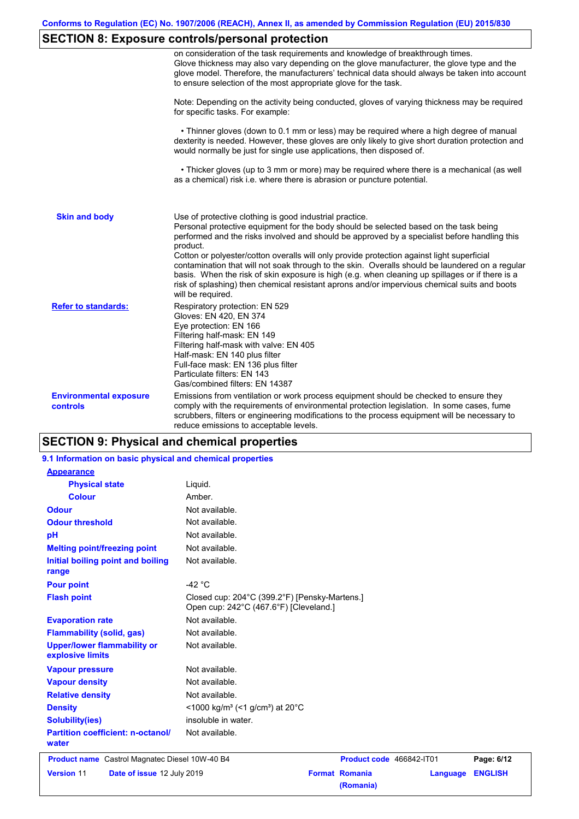## **SECTION 8: Exposure controls/personal protection**

|                                                  | on consideration of the task requirements and knowledge of breakthrough times.<br>Glove thickness may also vary depending on the glove manufacturer, the glove type and the<br>glove model. Therefore, the manufacturers' technical data should always be taken into account<br>to ensure selection of the most appropriate glove for the task.                                                                                                                                                                                                                                                                                                                  |
|--------------------------------------------------|------------------------------------------------------------------------------------------------------------------------------------------------------------------------------------------------------------------------------------------------------------------------------------------------------------------------------------------------------------------------------------------------------------------------------------------------------------------------------------------------------------------------------------------------------------------------------------------------------------------------------------------------------------------|
|                                                  | Note: Depending on the activity being conducted, gloves of varying thickness may be required<br>for specific tasks. For example:                                                                                                                                                                                                                                                                                                                                                                                                                                                                                                                                 |
|                                                  | • Thinner gloves (down to 0.1 mm or less) may be required where a high degree of manual<br>dexterity is needed. However, these gloves are only likely to give short duration protection and<br>would normally be just for single use applications, then disposed of.                                                                                                                                                                                                                                                                                                                                                                                             |
|                                                  | • Thicker gloves (up to 3 mm or more) may be required where there is a mechanical (as well<br>as a chemical) risk i.e. where there is abrasion or puncture potential.                                                                                                                                                                                                                                                                                                                                                                                                                                                                                            |
| <b>Skin and body</b>                             | Use of protective clothing is good industrial practice.<br>Personal protective equipment for the body should be selected based on the task being<br>performed and the risks involved and should be approved by a specialist before handling this<br>product.<br>Cotton or polyester/cotton overalls will only provide protection against light superficial<br>contamination that will not soak through to the skin. Overalls should be laundered on a regular<br>basis. When the risk of skin exposure is high (e.g. when cleaning up spillages or if there is a<br>risk of splashing) then chemical resistant aprons and/or impervious chemical suits and boots |
| <b>Refer to standards:</b>                       | will be required.<br>Respiratory protection: EN 529<br>Gloves: EN 420, EN 374<br>Eye protection: EN 166<br>Filtering half-mask: EN 149<br>Filtering half-mask with valve: EN 405<br>Half-mask: EN 140 plus filter<br>Full-face mask: EN 136 plus filter<br>Particulate filters: EN 143<br>Gas/combined filters: EN 14387                                                                                                                                                                                                                                                                                                                                         |
| <b>Environmental exposure</b><br><b>controls</b> | Emissions from ventilation or work process equipment should be checked to ensure they<br>comply with the requirements of environmental protection legislation. In some cases, fume<br>scrubbers, filters or engineering modifications to the process equipment will be necessary to<br>reduce emissions to acceptable levels.                                                                                                                                                                                                                                                                                                                                    |

### **SECTION 9: Physical and chemical properties**

#### Not available. **Physical state Melting point/freezing point Initial boiling point and boiling range Vapour pressure Relative density Vapour density** Liquid. Not available. Not available. Not available. Not available. **Odour** Not available. **pH Colour** Amber. **Evaporation rate** Not available. **Flash point** Closed cup: 204°C (399.2°F) [Pensky-Martens.] Open cup: 242°C (467.6°F) [Cleveland.] Not available. Not available. Not available. **Odour threshold** Not available. **Partition coefficient: n-octanol/ water Upper/lower flammability or explosive limits 9.1 Information on basic physical and chemical properties Appearance Flammability (solid, gas)** Not available. **Pour point**  $-42 \degree C$ **Density** <1000 kg/m<sup>3</sup> (<1 g/cm<sup>3</sup>) at 20°C **Solubility(ies)** insoluble in water. **Product name** Castrol Magnatec Diesel 10W-40 B4 **Product Code 466842-IT01 Page: 6/12 Version** 11 **Date of issue** 12 July 2019 **Format Romania Language ENGLISH (Romania)**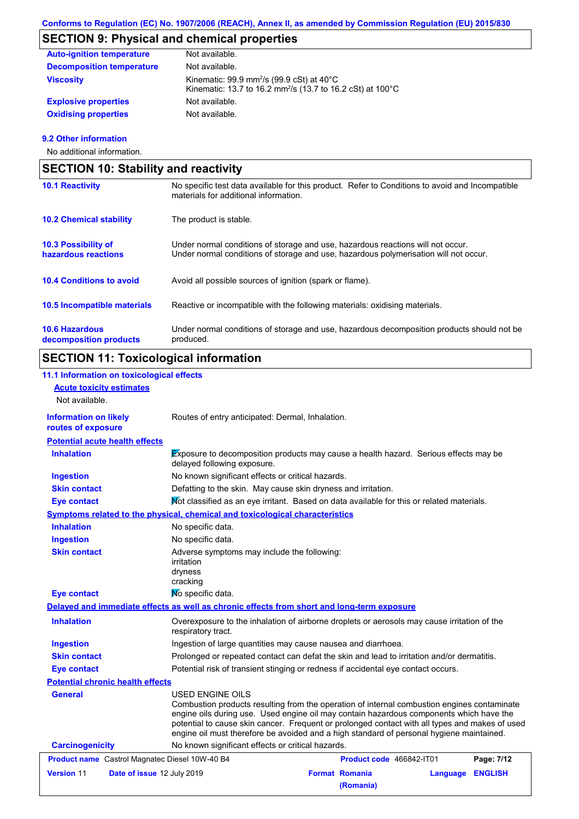# **SECTION 9: Physical and chemical properties**

| <b>Auto-ignition temperature</b> | Not available.                                                                                                                                 |
|----------------------------------|------------------------------------------------------------------------------------------------------------------------------------------------|
| <b>Decomposition temperature</b> | Not available.                                                                                                                                 |
| <b>Viscosity</b>                 | Kinematic: $99.9$ mm <sup>2</sup> /s ( $99.9$ cSt) at $40^{\circ}$ C<br>Kinematic: 13.7 to 16.2 mm <sup>2</sup> /s (13.7 to 16.2 cSt) at 100°C |
| <b>Explosive properties</b>      | Not available.                                                                                                                                 |
| <b>Oxidising properties</b>      | Not available.                                                                                                                                 |

### **9.2 Other information**

No additional information.

| <b>SECTION 10: Stability and reactivity</b>       |                                                                                                                                                                         |  |
|---------------------------------------------------|-------------------------------------------------------------------------------------------------------------------------------------------------------------------------|--|
| <b>10.1 Reactivity</b>                            | No specific test data available for this product. Refer to Conditions to avoid and Incompatible<br>materials for additional information.                                |  |
| <b>10.2 Chemical stability</b>                    | The product is stable.                                                                                                                                                  |  |
| <b>10.3 Possibility of</b><br>hazardous reactions | Under normal conditions of storage and use, hazardous reactions will not occur.<br>Under normal conditions of storage and use, hazardous polymerisation will not occur. |  |
| <b>10.4 Conditions to avoid</b>                   | Avoid all possible sources of ignition (spark or flame).                                                                                                                |  |
| 10.5 Incompatible materials                       | Reactive or incompatible with the following materials: oxidising materials.                                                                                             |  |
| <b>10.6 Hazardous</b><br>decomposition products   | Under normal conditions of storage and use, hazardous decomposition products should not be<br>produced.                                                                 |  |

# **SECTION 11: Toxicological information**

### **11.1 Information on toxicological effects**

| <b>Acute toxicity estimates</b><br>Not available.     |                                                                                                                                                                                                                                                                                                                                                                                                          |                          |          |                |
|-------------------------------------------------------|----------------------------------------------------------------------------------------------------------------------------------------------------------------------------------------------------------------------------------------------------------------------------------------------------------------------------------------------------------------------------------------------------------|--------------------------|----------|----------------|
| <b>Information on likely</b><br>routes of exposure    | Routes of entry anticipated: Dermal, Inhalation.                                                                                                                                                                                                                                                                                                                                                         |                          |          |                |
| <b>Potential acute health effects</b>                 |                                                                                                                                                                                                                                                                                                                                                                                                          |                          |          |                |
| <b>Inhalation</b>                                     | Exposure to decomposition products may cause a health hazard. Serious effects may be<br>delayed following exposure.                                                                                                                                                                                                                                                                                      |                          |          |                |
| <b>Ingestion</b>                                      | No known significant effects or critical hazards.                                                                                                                                                                                                                                                                                                                                                        |                          |          |                |
| <b>Skin contact</b>                                   | Defatting to the skin. May cause skin dryness and irritation.                                                                                                                                                                                                                                                                                                                                            |                          |          |                |
| <b>Eye contact</b>                                    | Not classified as an eye irritant. Based on data available for this or related materials.                                                                                                                                                                                                                                                                                                                |                          |          |                |
|                                                       | Symptoms related to the physical, chemical and toxicological characteristics                                                                                                                                                                                                                                                                                                                             |                          |          |                |
| <b>Inhalation</b>                                     | No specific data.                                                                                                                                                                                                                                                                                                                                                                                        |                          |          |                |
| <b>Ingestion</b>                                      | No specific data.                                                                                                                                                                                                                                                                                                                                                                                        |                          |          |                |
| <b>Skin contact</b>                                   | Adverse symptoms may include the following:<br>irritation<br>dryness<br>cracking                                                                                                                                                                                                                                                                                                                         |                          |          |                |
| <b>Eye contact</b>                                    | No specific data.                                                                                                                                                                                                                                                                                                                                                                                        |                          |          |                |
|                                                       | Delayed and immediate effects as well as chronic effects from short and long-term exposure                                                                                                                                                                                                                                                                                                               |                          |          |                |
| <b>Inhalation</b>                                     | Overexposure to the inhalation of airborne droplets or aerosols may cause irritation of the<br>respiratory tract.                                                                                                                                                                                                                                                                                        |                          |          |                |
| <b>Ingestion</b>                                      | Ingestion of large quantities may cause nausea and diarrhoea.                                                                                                                                                                                                                                                                                                                                            |                          |          |                |
| <b>Skin contact</b>                                   | Prolonged or repeated contact can defat the skin and lead to irritation and/or dermatitis.                                                                                                                                                                                                                                                                                                               |                          |          |                |
| <b>Eye contact</b>                                    | Potential risk of transient stinging or redness if accidental eye contact occurs.                                                                                                                                                                                                                                                                                                                        |                          |          |                |
| <b>Potential chronic health effects</b>               |                                                                                                                                                                                                                                                                                                                                                                                                          |                          |          |                |
| <b>General</b>                                        | USED ENGINE OILS<br>Combustion products resulting from the operation of internal combustion engines contaminate<br>engine oils during use. Used engine oil may contain hazardous components which have the<br>potential to cause skin cancer. Frequent or prolonged contact with all types and makes of used<br>engine oil must therefore be avoided and a high standard of personal hygiene maintained. |                          |          |                |
| <b>Carcinogenicity</b>                                | No known significant effects or critical hazards.                                                                                                                                                                                                                                                                                                                                                        |                          |          |                |
| <b>Product name</b> Castrol Magnatec Diesel 10W-40 B4 |                                                                                                                                                                                                                                                                                                                                                                                                          | Product code 466842-IT01 |          | Page: 7/12     |
|                                                       | Date of issue 12 July 2019                                                                                                                                                                                                                                                                                                                                                                               | <b>Format Romania</b>    | Language | <b>ENGLISH</b> |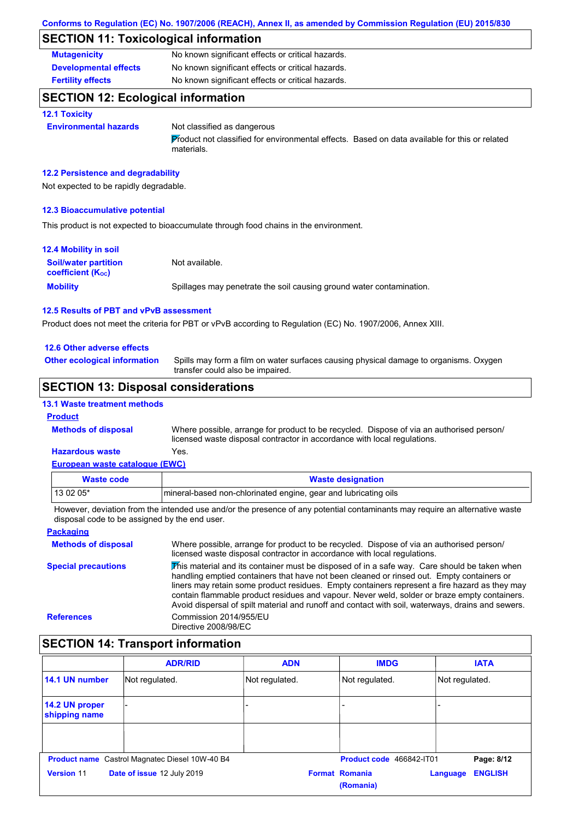## **SECTION 11: Toxicological information**

| <b>Mutagenicity</b>          | No known significant effects or critical hazards. |
|------------------------------|---------------------------------------------------|
| <b>Developmental effects</b> | No known significant effects or critical hazards. |
| <b>Fertility effects</b>     | No known significant effects or critical hazards. |

## **SECTION 12: Ecological information**

### **12.1 Toxicity**

**Environmental hazards** Not classified as dangerous

Product not classified for environmental effects. Based on data available for this or related materials.

### **12.2 Persistence and degradability**

Not expected to be rapidly degradable.

### **12.3 Bioaccumulative potential**

This product is not expected to bioaccumulate through food chains in the environment.

| <b>12.4 Mobility in soil</b>                                  |                                                                      |
|---------------------------------------------------------------|----------------------------------------------------------------------|
| <b>Soil/water partition</b><br>coefficient (K <sub>oc</sub> ) | Not available.                                                       |
| <b>Mobility</b>                                               | Spillages may penetrate the soil causing ground water contamination. |

#### **12.5 Results of PBT and vPvB assessment**

Product does not meet the criteria for PBT or vPvB according to Regulation (EC) No. 1907/2006, Annex XIII.

### **12.6 Other adverse effects**

**Other ecological information**

Spills may form a film on water surfaces causing physical damage to organisms. Oxygen transfer could also be impaired.

## **SECTION 13: Disposal considerations**

### **13.1 Waste treatment methods**

#### **Product**

**Methods of disposal**

**Hazardous waste** Yes. Where possible, arrange for product to be recycled. Dispose of via an authorised person/ licensed waste disposal contractor in accordance with local regulations.

### **European waste catalogue (EWC)**

| Waste code | <b>Waste designation</b>                                        |
|------------|-----------------------------------------------------------------|
| $130205*$  | mineral-based non-chlorinated engine, gear and lubricating oils |

However, deviation from the intended use and/or the presence of any potential contaminants may require an alternative waste disposal code to be assigned by the end user.

| <b>Packaging</b>           |                                                                                                                                                                                                                                                                                                                                                                                                                                                                                                 |
|----------------------------|-------------------------------------------------------------------------------------------------------------------------------------------------------------------------------------------------------------------------------------------------------------------------------------------------------------------------------------------------------------------------------------------------------------------------------------------------------------------------------------------------|
| <b>Methods of disposal</b> | Where possible, arrange for product to be recycled. Dispose of via an authorised person/<br>licensed waste disposal contractor in accordance with local regulations.                                                                                                                                                                                                                                                                                                                            |
| <b>Special precautions</b> | This material and its container must be disposed of in a safe way. Care should be taken when<br>handling emptied containers that have not been cleaned or rinsed out. Empty containers or<br>liners may retain some product residues. Empty containers represent a fire hazard as they may<br>contain flammable product residues and vapour. Never weld, solder or braze empty containers.<br>Avoid dispersal of spilt material and runoff and contact with soil, waterways, drains and sewers. |
| <b>References</b>          | Commission 2014/955/EU<br>Directive 2008/98/EC                                                                                                                                                                                                                                                                                                                                                                                                                                                  |

## **SECTION 14: Transport information**

|                                                | <b>ADR/RID</b>             | <b>ADN</b>     | <b>IMDG</b>                        | <b>IATA</b>                |
|------------------------------------------------|----------------------------|----------------|------------------------------------|----------------------------|
| 14.1 UN number                                 | Not regulated.             | Not regulated. | Not regulated.                     | Not regulated.             |
| 14.2 UN proper<br>shipping name                |                            |                |                                    |                            |
|                                                |                            |                |                                    |                            |
| Product name Castrol Magnatec Diesel 10W-40 B4 |                            |                | Product code 466842-IT01           | Page: 8/12                 |
| <b>Version 11</b>                              | Date of issue 12 July 2019 |                | <b>Format Romania</b><br>(Romania) | <b>ENGLISH</b><br>Language |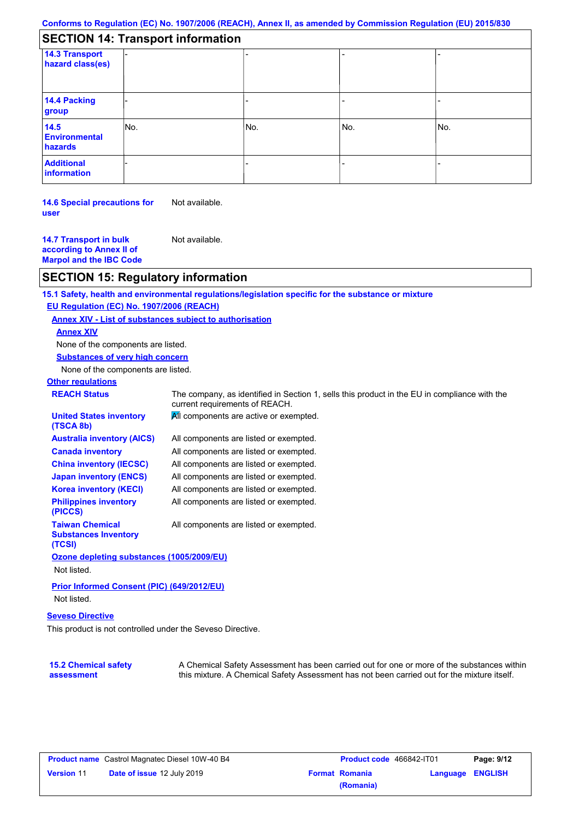## **SECTION 14: Transport information**

| 14.3 Transport<br>hazard class(es)      |     |     |     |     |
|-----------------------------------------|-----|-----|-----|-----|
|                                         |     |     |     |     |
| 14.4 Packing<br>group                   |     |     |     |     |
| 14.5<br><b>Environmental</b><br>hazards | No. | No. | No. | No. |
| <b>Additional</b><br>information        |     |     |     |     |

**14.6 Special precautions for user** Not available.

**14.7 Transport in bulk according to Annex II of Marpol and the IBC Code** Not available.

### **SECTION 15: Regulatory information**

**15.1 Safety, health and environmental regulations/legislation specific for the substance or mixture EU Regulation (EC) No. 1907/2006 (REACH) Annex XIV - List of substances subject to authorisation**

### **Annex XIV**

None of the components are listed.

**Substances of very high concern**

None of the components are listed.

#### **Other regulations**

**(TSCA 8b)**

**REACH Status** The company, as identified in Section 1, sells this product in the EU in compliance with the current requirements of REACH.

| <b>United States inventory</b> | All components are active or exempted. |
|--------------------------------|----------------------------------------|
|                                |                                        |

| <b>Australia inventory (AICS)</b>       | All components are listed or exempted. |
|-----------------------------------------|----------------------------------------|
| <b>Canada inventory</b>                 | All components are listed or exempted. |
| <b>China inventory (IECSC)</b>          | All components are listed or exempted. |
| <b>Japan inventory (ENCS)</b>           | All components are listed or exempted. |
| <b>Korea inventory (KECI)</b>           | All components are listed or exempted. |
| <b>Philippines inventory</b><br>(PICCS) | All components are listed or exempted. |
| <b>Taiwan Chemical</b>                  | All components are listed or exempted. |

All components are listed or exempted.

**(TCSI) Ozone depleting substances (1005/2009/EU)** Not listed.

**Prior Informed Consent (PIC) (649/2012/EU)** Not listed.

### **Seveso Directive**

**Substances Inventory** 

This product is not controlled under the Seveso Directive.

#### **15.2 Chemical safety assessment**

A Chemical Safety Assessment has been carried out for one or more of the substances within this mixture. A Chemical Safety Assessment has not been carried out for the mixture itself.

|                   | <b>Product name</b> Castrol Magnatec Diesel 10W-40 B4 |
|-------------------|-------------------------------------------------------|
| <b>Version 11</b> | Date of issue 12 July 2019                            |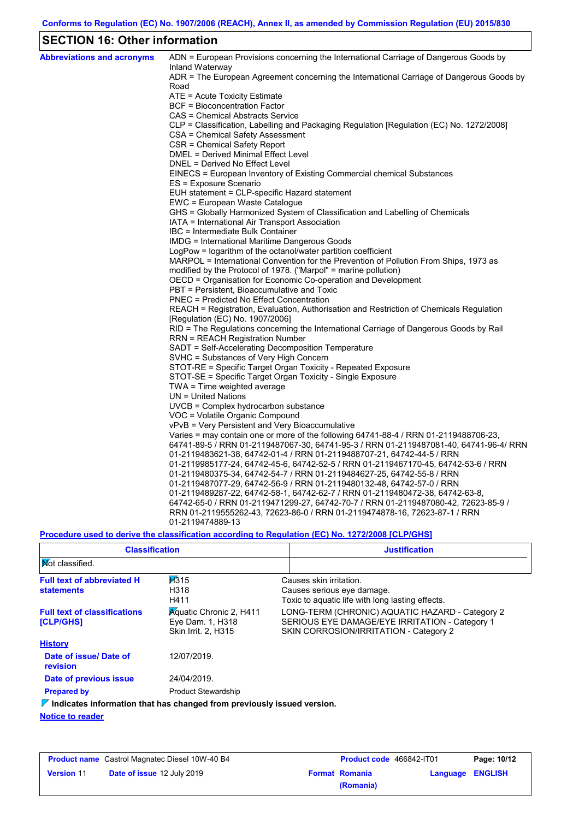## **SECTION 16: Other information**

| <b>Abbreviations and acronyms</b> | ADN = European Provisions concerning the International Carriage of Dangerous Goods by                                                                  |
|-----------------------------------|--------------------------------------------------------------------------------------------------------------------------------------------------------|
|                                   | Inland Waterway<br>ADR = The European Agreement concerning the International Carriage of Dangerous Goods by                                            |
|                                   | Road                                                                                                                                                   |
|                                   | ATE = Acute Toxicity Estimate                                                                                                                          |
|                                   | BCF = Bioconcentration Factor                                                                                                                          |
|                                   | CAS = Chemical Abstracts Service                                                                                                                       |
|                                   | CLP = Classification, Labelling and Packaging Regulation [Regulation (EC) No. 1272/2008]                                                               |
|                                   | CSA = Chemical Safety Assessment                                                                                                                       |
|                                   | CSR = Chemical Safety Report                                                                                                                           |
|                                   | DMEL = Derived Minimal Effect Level                                                                                                                    |
|                                   | DNEL = Derived No Effect Level                                                                                                                         |
|                                   | EINECS = European Inventory of Existing Commercial chemical Substances                                                                                 |
|                                   | ES = Exposure Scenario                                                                                                                                 |
|                                   | EUH statement = CLP-specific Hazard statement                                                                                                          |
|                                   | EWC = European Waste Catalogue                                                                                                                         |
|                                   | GHS = Globally Harmonized System of Classification and Labelling of Chemicals                                                                          |
|                                   | IATA = International Air Transport Association                                                                                                         |
|                                   | IBC = Intermediate Bulk Container                                                                                                                      |
|                                   | IMDG = International Maritime Dangerous Goods                                                                                                          |
|                                   | LogPow = logarithm of the octanol/water partition coefficient<br>MARPOL = International Convention for the Prevention of Pollution From Ships, 1973 as |
|                                   | modified by the Protocol of 1978. ("Marpol" = marine pollution)                                                                                        |
|                                   | OECD = Organisation for Economic Co-operation and Development                                                                                          |
|                                   | PBT = Persistent, Bioaccumulative and Toxic                                                                                                            |
|                                   | PNEC = Predicted No Effect Concentration                                                                                                               |
|                                   | REACH = Registration, Evaluation, Authorisation and Restriction of Chemicals Regulation                                                                |
|                                   | [Regulation (EC) No. 1907/2006]                                                                                                                        |
|                                   | RID = The Regulations concerning the International Carriage of Dangerous Goods by Rail                                                                 |
|                                   | RRN = REACH Registration Number                                                                                                                        |
|                                   | SADT = Self-Accelerating Decomposition Temperature                                                                                                     |
|                                   | SVHC = Substances of Very High Concern                                                                                                                 |
|                                   | STOT-RE = Specific Target Organ Toxicity - Repeated Exposure                                                                                           |
|                                   | STOT-SE = Specific Target Organ Toxicity - Single Exposure                                                                                             |
|                                   | TWA = Time weighted average                                                                                                                            |
|                                   | UN = United Nations                                                                                                                                    |
|                                   | $UVCB = Complex\;hydrocarbon\; substance$                                                                                                              |
|                                   | VOC = Volatile Organic Compound                                                                                                                        |
|                                   | vPvB = Very Persistent and Very Bioaccumulative                                                                                                        |
|                                   | Varies = may contain one or more of the following $64741-88-4$ / RRN 01-2119488706-23,                                                                 |
|                                   | 64741-89-5 / RRN 01-2119487067-30, 64741-95-3 / RRN 01-2119487081-40, 64741-96-4/ RRN                                                                  |
|                                   | 01-2119483621-38, 64742-01-4 / RRN 01-2119488707-21, 64742-44-5 / RRN                                                                                  |
|                                   | 01-2119985177-24, 64742-45-6, 64742-52-5 / RRN 01-2119467170-45, 64742-53-6 / RRN                                                                      |
|                                   | 01-2119480375-34, 64742-54-7 / RRN 01-2119484627-25, 64742-55-8 / RRN                                                                                  |
|                                   | 01-2119487077-29, 64742-56-9 / RRN 01-2119480132-48, 64742-57-0 / RRN                                                                                  |
|                                   | 01-2119489287-22, 64742-58-1, 64742-62-7 / RRN 01-2119480472-38, 64742-63-8,                                                                           |
|                                   | 64742-65-0 / RRN 01-2119471299-27, 64742-70-7 / RRN 01-2119487080-42, 72623-85-9 /                                                                     |
|                                   | RRN 01-2119555262-43, 72623-86-0 / RRN 01-2119474878-16, 72623-87-1 / RRN                                                                              |
|                                   | 01-2119474889-13                                                                                                                                       |

**Procedure used to derive the classification according to Regulation (EC) No. 1272/2008 [CLP/GHS]**

| <b>Classification</b>                                   |                                                                                                                                                 | <b>Justification</b>                                                                                                                        |
|---------------------------------------------------------|-------------------------------------------------------------------------------------------------------------------------------------------------|---------------------------------------------------------------------------------------------------------------------------------------------|
| <b>Not classified.</b>                                  |                                                                                                                                                 |                                                                                                                                             |
| <b>Full text of abbreviated H</b><br><b>statements</b>  | $\overline{113}15$<br>Causes skin irritation.<br>H318<br>Causes serious eye damage.<br>H411<br>Toxic to aguatic life with long lasting effects. |                                                                                                                                             |
| <b>Full text of classifications</b><br><b>[CLP/GHS]</b> | <b>Aguatic Chronic 2, H411</b><br>Eye Dam. 1, H318<br>Skin Irrit. 2, H315                                                                       | LONG-TERM (CHRONIC) AQUATIC HAZARD - Category 2<br>SERIOUS EYE DAMAGE/EYE IRRITATION - Category 1<br>SKIN CORROSION/IRRITATION - Category 2 |
| <b>History</b>                                          |                                                                                                                                                 |                                                                                                                                             |
| Date of issue/Date of<br>revision                       | 12/07/2019.                                                                                                                                     |                                                                                                                                             |
| Date of previous issue                                  | 24/04/2019.                                                                                                                                     |                                                                                                                                             |
| <b>Prepared by</b>                                      | <b>Product Stewardship</b>                                                                                                                      |                                                                                                                                             |
|                                                         | $\nabla$ Indicates information that has changed from previously issued version.                                                                 |                                                                                                                                             |
| <b>Notice to reader</b>                                 |                                                                                                                                                 |                                                                                                                                             |

|                   | <b>Product name</b> Castrol Magnatec Diesel 10W-40 B4 | <b>Product code</b> 466842-IT01 |                         | Page: 10/12 |
|-------------------|-------------------------------------------------------|---------------------------------|-------------------------|-------------|
| <b>Version 11</b> | <b>Date of issue 12 July 2019</b>                     | <b>Format Romania</b>           | <b>Language ENGLISH</b> |             |
|                   |                                                       | (Romania)                       |                         |             |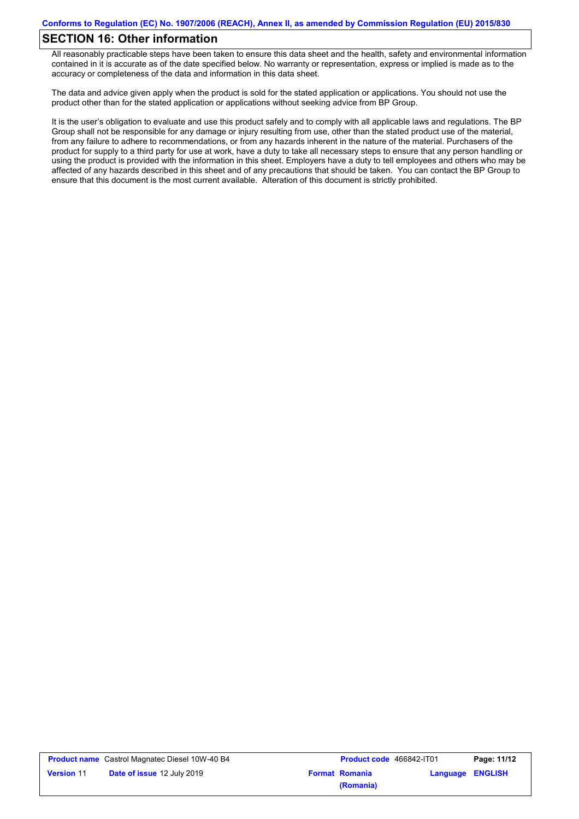## **SECTION 16: Other information**

All reasonably practicable steps have been taken to ensure this data sheet and the health, safety and environmental information contained in it is accurate as of the date specified below. No warranty or representation, express or implied is made as to the accuracy or completeness of the data and information in this data sheet.

The data and advice given apply when the product is sold for the stated application or applications. You should not use the product other than for the stated application or applications without seeking advice from BP Group.

It is the user's obligation to evaluate and use this product safely and to comply with all applicable laws and regulations. The BP Group shall not be responsible for any damage or injury resulting from use, other than the stated product use of the material, from any failure to adhere to recommendations, or from any hazards inherent in the nature of the material. Purchasers of the product for supply to a third party for use at work, have a duty to take all necessary steps to ensure that any person handling or using the product is provided with the information in this sheet. Employers have a duty to tell employees and others who may be affected of any hazards described in this sheet and of any precautions that should be taken. You can contact the BP Group to ensure that this document is the most current available. Alteration of this document is strictly prohibited.